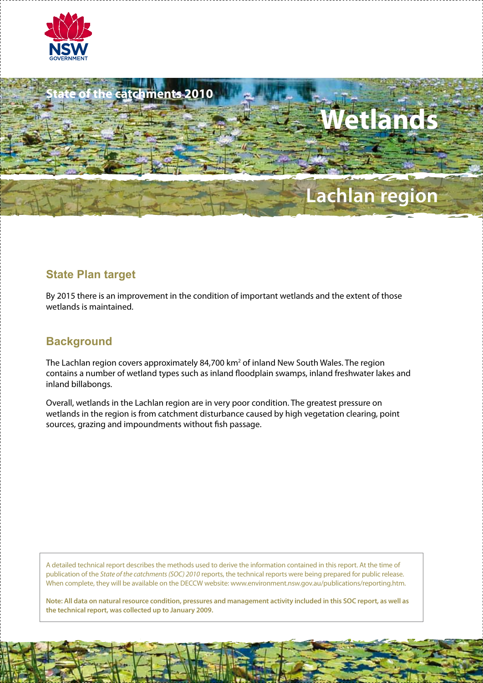



# **State Plan target**

By 2015 there is an improvement in the condition of important wetlands and the extent of those wetlands is maintained.

# **Background**

The Lachlan region covers approximately 84,700 km<sup>2</sup> of inland New South Wales. The region contains a number of wetland types such as inland floodplain swamps, inland freshwater lakes and inland billabongs.

Overall, wetlands in the Lachlan region are in very poor condition. The greatest pressure on wetlands in the region is from catchment disturbance caused by high vegetation clearing, point sources, grazing and impoundments without fish passage.

A detailed technical report describes the methods used to derive the information contained in this report. At the time of publication of the *State of the catchments (SOC) 2010* reports, the technical reports were being prepared for public release. When complete, they will be available on the DECCW website: www.environment.nsw.gov.au/publications/reporting.htm.

**Note: All data on natural resource condition, pressures and management activity included in this SOC report, as well as the technical report, was collected up to January 2009.**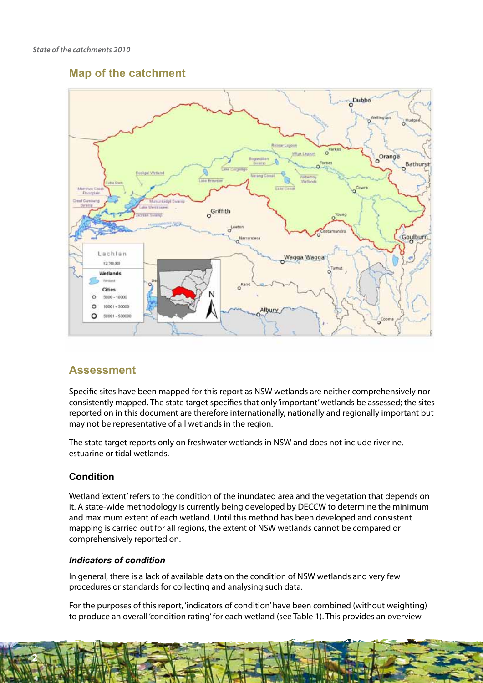# **Map of the catchment**



# **Assessment**

Specific sites have been mapped for this report as NSW wetlands are neither comprehensively nor consistently mapped. The state target specifies that only 'important' wetlands be assessed; the sites reported on in this document are therefore internationally, nationally and regionally important but may not be representative of all wetlands in the region.

The state target reports only on freshwater wetlands in NSW and does not include riverine, estuarine or tidal wetlands.

## **Condition**

**2**

Wetland 'extent' refers to the condition of the inundated area and the vegetation that depends on it. A state-wide methodology is currently being developed by DECCW to determine the minimum and maximum extent of each wetland. Until this method has been developed and consistent mapping is carried out for all regions, the extent of NSW wetlands cannot be compared or comprehensively reported on.

### *Indicators of condition*

In general, there is a lack of available data on the condition of NSW wetlands and very few procedures or standards for collecting and analysing such data.

For the purposes of this report, 'indicators of condition' have been combined (without weighting) to produce an overall 'condition rating' for each wetland (see Table 1). This provides an overview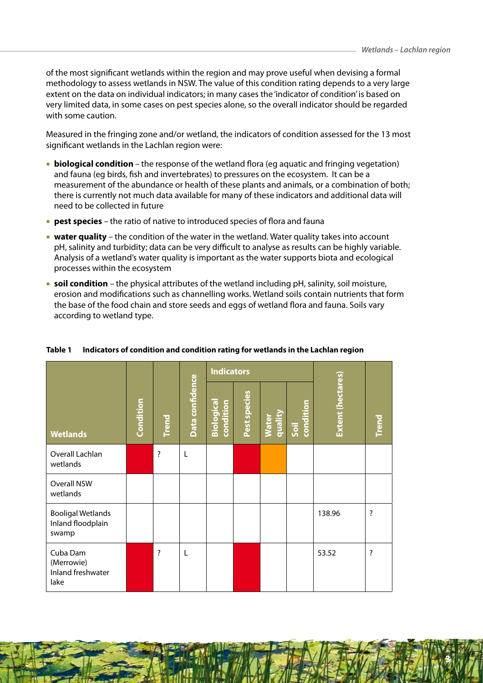of the most significant wetlands within the region and may prove useful when devising a formal methodology to assess wetlands in NSW. The value of this condition rating depends to a very large extent on the data on individual indicators; in many cases the 'indicator of condition' is based on very limited data, in some cases on pest species alone, so the overall indicator should be regarded with some caution.

Measured in the fringing zone and/or wetland, the indicators of condition assessed for the 13 most significant wetlands in the Lachlan region were:

- • **biological condition**the response of the wetland flora (eg aquatic and fringing vegetation) and fauna (eg birds, fish and invertebrates) to pressures on the ecosystem. It can be a measurement of the abundance or health of these plants and animals, or a combination of both; there is currently not much data available for many of these indicators and additional data will need to be collected in future
- **pest species** the ratio of native to introduced species of flora and fauna
- • **water quality** the condition of the water in the wetland. Water quality takes into account pH, salinity and turbidity; data can be very difficult to analyse as results can be highly variable. Analysis of a wetland's water quality is important as the water supports biota and ecological processes within the ecosystem
- • **soil condition** the physical attributes of the wetland including pH, salinity, soil moisture, erosion and modifications such as channelling works. Wetland soils contain nutrients that form the base of the food chain and store seeds and eggs of wetland flora and fauna. Soils vary according to wetland type.

|                                                        |           |              |                 | <b>Indicators</b>             |              |                         |                   |                   |              |
|--------------------------------------------------------|-----------|--------------|-----------------|-------------------------------|--------------|-------------------------|-------------------|-------------------|--------------|
| <b>Wetlands</b>                                        | Condition | <b>Trend</b> | Data confidence | Biologica<br><b>condition</b> | Pest species | quality<br><b>Water</b> | condition<br>Soil | Extent (hectares) | <b>Trend</b> |
| Overall Lachlan<br>wetlands                            |           | ?            | L               |                               |              |                         |                   |                   |              |
| Overall NSW<br>wetlands                                |           |              |                 |                               |              |                         |                   |                   |              |
| <b>Booligal Wetlands</b><br>Inland floodplain<br>swamp |           |              |                 |                               |              |                         |                   | 138.96            | ?            |
| Cuba Dam<br>(Merrowie)<br>Inland freshwater<br>lake    |           | ?            | L               |                               |              |                         |                   | 53.52             | ?            |

### **Table 1 Indicators of condition and condition rating for wetlands in the Lachlan region**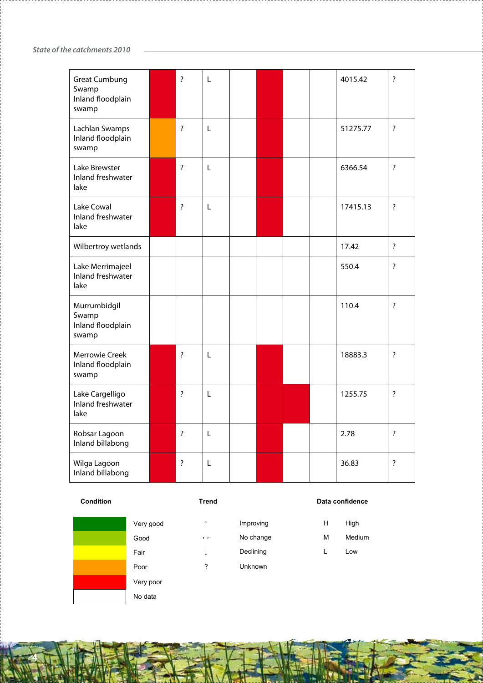*State of the catchments 2010*

| <b>Great Cumbung</b><br>Swamp<br>Inland floodplain<br>swamp | $\overline{\cdot}$ | L |  |  | 4015.42  | $\overline{\cdot}$ |
|-------------------------------------------------------------|--------------------|---|--|--|----------|--------------------|
| Lachlan Swamps<br>Inland floodplain<br>swamp                | $\overline{\cdot}$ | L |  |  | 51275.77 | $\overline{?}$     |
| Lake Brewster<br>Inland freshwater<br>lake                  | $\overline{\cdot}$ | L |  |  | 6366.54  | $\overline{\cdot}$ |
| Lake Cowal<br>Inland freshwater<br>lake                     | $\overline{\cdot}$ | L |  |  | 17415.13 | $\overline{\cdot}$ |
| Wilbertroy wetlands                                         |                    |   |  |  | 17.42    | $\overline{\cdot}$ |
| Lake Merrimajeel<br>Inland freshwater<br>lake               |                    |   |  |  | 550.4    | $\overline{\cdot}$ |
| Murrumbidgil<br>Swamp<br>Inland floodplain<br>swamp         |                    |   |  |  | 110.4    | $\overline{\cdot}$ |
| <b>Merrowie Creek</b><br>Inland floodplain<br>swamp         | $\overline{\cdot}$ | L |  |  | 18883.3  | $\overline{\cdot}$ |
| Lake Cargelligo<br>Inland freshwater<br>lake                | $\overline{\cdot}$ | L |  |  | 1255.75  | $\overline{\cdot}$ |
| Robsar Lagoon<br>Inland billabong                           | $\overline{\cdot}$ | L |  |  | 2.78     | $\overline{\cdot}$ |
| Wilga Lagoon<br>Inland billabong                            | $\overline{\cdot}$ | L |  |  | 36.83    | $\overline{?}$     |

**Condition Conditional Condition Data confidence** 

Very poor No data

**4**

| ×<br>v | . . |  |
|--------|-----|--|
|        |     |  |

| Very good | Improving | High |
|-----------|-----------|------|

Fair ↓ Declining L Low

- Poor ? Unknown
- Good 
← No change M Medium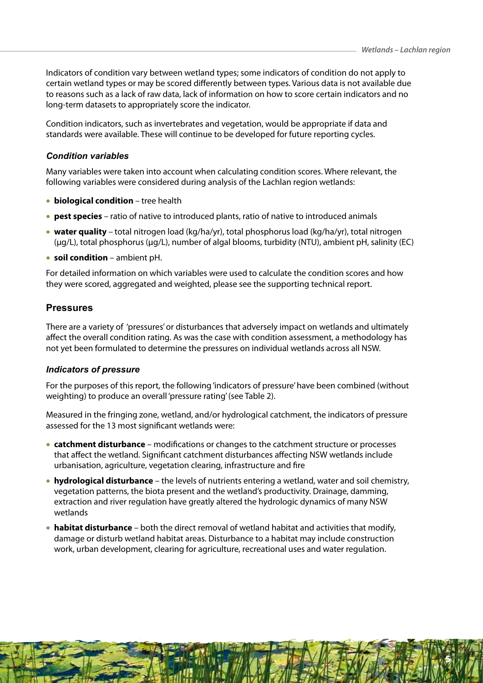Indicators of condition vary between wetland types; some indicators of condition do not apply to certain wetland types or may be scored differently between types. Various data is not available due to reasons such as a lack of raw data, lack of information on how to score certain indicators and no long-term datasets to appropriately score the indicator.

Condition indicators, such as invertebrates and vegetation, would be appropriate if data and standards were available. These will continue to be developed for future reporting cycles.

### *Condition variables*

Many variables were taken into account when calculating condition scores. Where relevant, the following variables were considered during analysis of the Lachlan region wetlands:

- • **biological condition** tree health
- **pest species** ratio of native to introduced plants, ratio of native to introduced animals
- • **water quality** total nitrogen load (kg/ha/yr), total phosphorus load (kg/ha/yr), total nitrogen (µg/L), total phosphorus (µg/L), number of algal blooms, turbidity (NTU), ambient pH, salinity (EC)
- • **soil condition** *–* ambient pH.

For detailed information on which variables were used to calculate the condition scores and how they were scored, aggregated and weighted, please see the supporting technical report.

## **Pressures**

There are a variety of 'pressures' or disturbances that adversely impact on wetlands and ultimately affect the overall condition rating. As was the case with condition assessment, a methodology has not yet been formulated to determine the pressures on individual wetlands across all NSW.

### *Indicators of pressure*

For the purposes of this report, the following 'indicators of pressure' have been combined (without weighting) to produce an overall 'pressure rating' (see Table 2).

Measured in the fringing zone, wetland, and/or hydrological catchment, the indicators of pressure assessed for the 13 most significant wetlands were:

- **catchment disturbance** modifications or changes to the catchment structure or processes that affect the wetland. Significant catchment disturbances affecting NSW wetlands include urbanisation, agriculture, vegetation clearing, infrastructure and fire
- • **hydrological disturbance** the levels of nutrients entering a wetland, water and soil chemistry, vegetation patterns, the biota present and the wetland's productivity. Drainage, damming, extraction and river regulation have greatly altered the hydrologic dynamics of many NSW wetlands
- • **habitat disturbance** both the direct removal of wetland habitat and activities that modify, damage or disturb wetland habitat areas. Disturbance to a habitat may include construction work, urban development, clearing for agriculture, recreational uses and water regulation.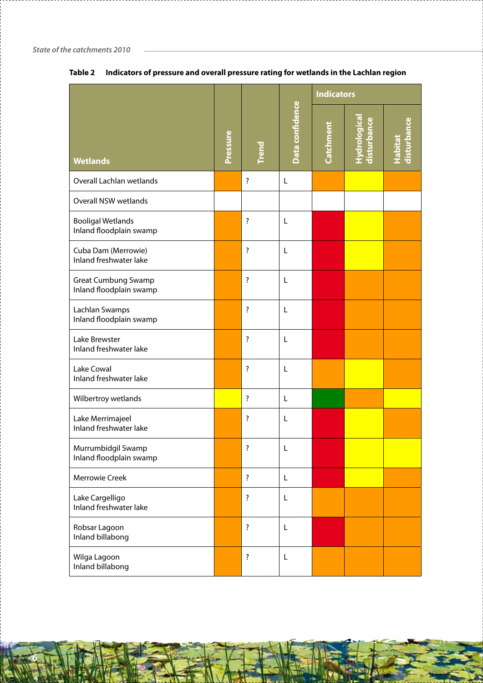|                                                       |  |                    |                 | <b>Indicators</b> |                            |                               |
|-------------------------------------------------------|--|--------------------|-----------------|-------------------|----------------------------|-------------------------------|
| <b>Wetlands</b>                                       |  | <b>Frend</b>       | Data confidence | Catchment         | Hydrologica<br>disturbance | disturbance<br><b>Habitat</b> |
| Overall Lachlan wetlands                              |  | $\overline{\cdot}$ | L               |                   |                            |                               |
| <b>Overall NSW wetlands</b>                           |  |                    |                 |                   |                            |                               |
| <b>Booligal Wetlands</b><br>Inland floodplain swamp   |  | $\overline{\cdot}$ | L               |                   |                            |                               |
| Cuba Dam (Merrowie)<br>Inland freshwater lake         |  | $\overline{\cdot}$ | L               |                   |                            |                               |
| <b>Great Cumbung Swamp</b><br>Inland floodplain swamp |  | $\overline{\cdot}$ | L               |                   |                            |                               |
| Lachlan Swamps<br>Inland floodplain swamp             |  | $\overline{\cdot}$ | L               |                   |                            |                               |
| Lake Brewster<br>Inland freshwater lake               |  | $\overline{\cdot}$ | L               |                   |                            |                               |
| Lake Cowal<br>Inland freshwater lake                  |  | $\overline{\cdot}$ | L               |                   |                            |                               |
| Wilbertroy wetlands                                   |  | $\overline{\cdot}$ | L               |                   |                            |                               |
| Lake Merrimajeel<br>Inland freshwater lake            |  | $\overline{\cdot}$ | L               |                   |                            |                               |
| Murrumbidgil Swamp<br>Inland floodplain swamp         |  | Ţ                  | L               |                   |                            |                               |
| <b>Merrowie Creek</b>                                 |  | $\overline{\cdot}$ | L               |                   |                            |                               |
| Lake Cargelligo<br>Inland freshwater lake             |  | $\overline{\cdot}$ | L               |                   |                            |                               |
| Robsar Lagoon<br>Inland billabong                     |  | $\overline{\cdot}$ | L               |                   |                            |                               |
| Wilga Lagoon<br>Inland billabong                      |  | $\overline{\cdot}$ | L               |                   |                            |                               |

## **Table 2 Indicators of pressure and overall pressure rating for wetlands in the Lachlan region**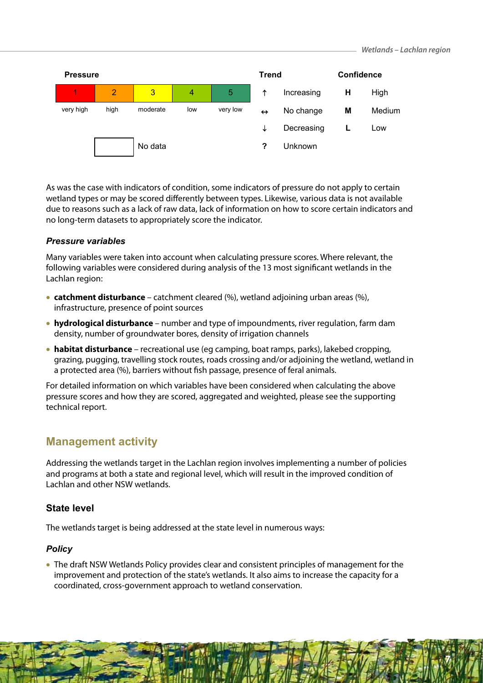

As was the case with indicators of condition, some indicators of pressure do not apply to certain wetland types or may be scored differently between types. Likewise, various data is not available due to reasons such as a lack of raw data, lack of information on how to score certain indicators and no long-term datasets to appropriately score the indicator.

### *Pressure variables*

Many variables were taken into account when calculating pressure scores. Where relevant, the following variables were considered during analysis of the 13 most significant wetlands in the Lachlan region:

- **catchment disturbance** catchment cleared (%), wetland adjoining urban areas (%), infrastructure, presence of point sources
- • **hydrological disturbance**  number and type of impoundments, river regulation, farm dam density, number of groundwater bores, density of irrigation channels
- • **habitat disturbance** recreational use (eg camping, boat ramps, parks), lakebed cropping, grazing, pugging, travelling stock routes, roads crossing and/or adjoining the wetland, wetland in a protected area (%), barriers without fish passage, presence of feral animals.

For detailed information on which variables have been considered when calculating the above pressure scores and how they are scored, aggregated and weighted, please see the supporting technical report.

## **Management activity**

Addressing the wetlands target in the Lachlan region involves implementing a number of policies and programs at both a state and regional level, which will result in the improved condition of Lachlan and other NSW wetlands.

### **State level**

The wetlands target is being addressed at the state level in numerous ways:

### *Policy*

• The draft NSW Wetlands Policy provides clear and consistent principles of management for the improvement and protection of the state's wetlands. It also aims to increase the capacity for a coordinated, cross-government approach to wetland conservation.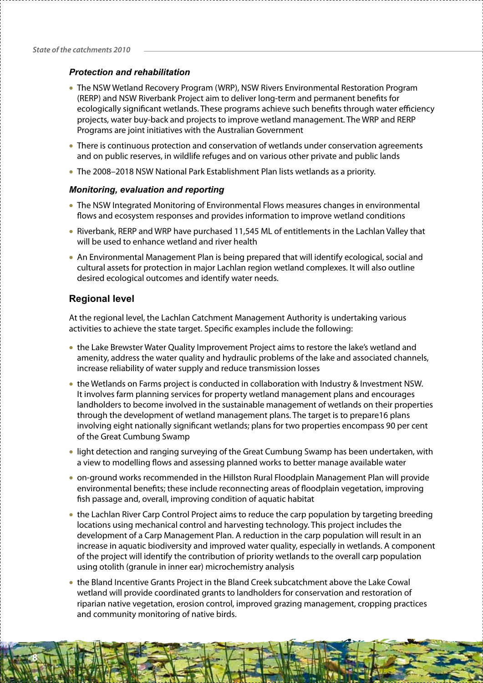### *Protection and rehabilitation*

- The NSW Wetland Recovery Program (WRP), NSW Rivers Environmental Restoration Program (RERP) and NSW Riverbank Project aim to deliver long-term and permanent benefits for ecologically significant wetlands. These programs achieve such benefits through water efficiency projects, water buy-back and projects to improve wetland management. The WRP and RERP Programs are joint initiatives with the Australian Government
- There is continuous protection and conservation of wetlands under conservation agreements and on public reserves, in wildlife refuges and on various other private and public lands
- The 2008-2018 NSW National Park Establishment Plan lists wetlands as a priority.

#### *Monitoring, evaluation and reporting*

- The NSW Integrated Monitoring of Environmental Flows measures changes in environmental flows and ecosystem responses and provides information to improve wetland conditions
- Riverbank, RERP and WRP have purchased 11,545 ML of entitlements in the Lachlan Valley that will be used to enhance wetland and river health
- An Environmental Management Plan is being prepared that will identify ecological, social and cultural assets for protection in major Lachlan region wetland complexes. It will also outline desired ecological outcomes and identify water needs.

### **Regional level**

**8**

At the regional level, the Lachlan Catchment Management Authority is undertaking various activities to achieve the state target. Specific examples include the following:

- the Lake Brewster Water Quality Improvement Project aims to restore the lake's wetland and amenity, address the water quality and hydraulic problems of the lake and associated channels, increase reliability of water supply and reduce transmission losses
- the Wetlands on Farms project is conducted in collaboration with Industry & Investment NSW. It involves farm planning services for property wetland management plans and encourages landholders to become involved in the sustainable management of wetlands on their properties through the development of wetland management plans. The target is to prepare16 plans involving eight nationally significant wetlands; plans for two properties encompass 90 per cent of the Great Cumbung Swamp
- light detection and ranging surveying of the Great Cumbung Swamp has been undertaken, with a view to modelling flows and assessing planned works to better manage available water
- • on-ground works recommended in the Hillston Rural Floodplain Management Plan will provide environmental benefits; these include reconnecting areas of floodplain vegetation, improving fish passage and, overall, improving condition of aquatic habitat
- the Lachlan River Carp Control Project aims to reduce the carp population by targeting breeding locations using mechanical control and harvesting technology. This project includes the development of a Carp Management Plan. A reduction in the carp population will result in an increase in aquatic biodiversity and improved water quality, especially in wetlands. A component of the project will identify the contribution of priority wetlands to the overall carp population using otolith (granule in inner ear) microchemistry analysis
- the Bland Incentive Grants Project in the Bland Creek subcatchment above the Lake Cowal wetland will provide coordinated grants to landholders for conservation and restoration of riparian native vegetation, erosion control, improved grazing management, cropping practices and community monitoring of native birds.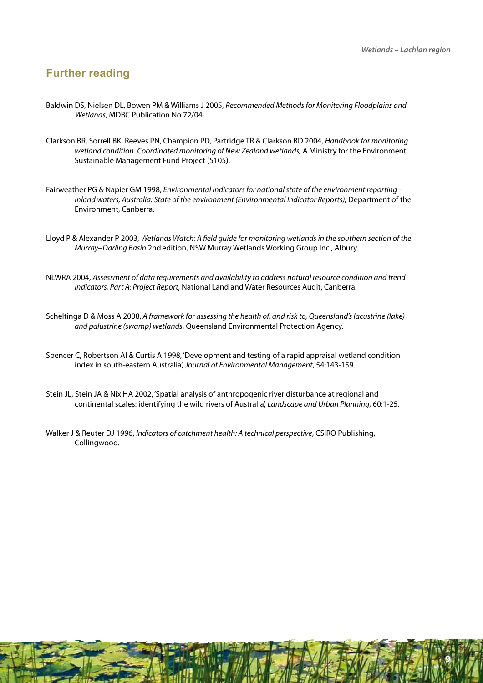# **Further reading**

- Baldwin DS, Nielsen DL, Bowen PM & Williams J 2005, *Recommended Methods for Monitoring Floodplains and Wetlands*, MDBC Publication No 72/04.
- Clarkson BR, Sorrell BK, Reeves PN, Champion PD, Partridge TR & Clarkson BD 2004, *Handbook for monitoring wetland condition*. *Coordinated monitoring of New Zealand wetlands,* A Ministry for the Environment Sustainable Management Fund Project (5105).
- Fairweather PG & Napier GM 1998, *Environmental indicators for national state of the environment reporting inland waters, Australia: State of the environment (Environmental Indicator Reports),* Department of the Environment, Canberra.
- Lloyd P & Alexander P 2003, *Wetlands Watch: A field guide for monitoring wetlands in the southern section of the Murray*-*Darling Basin* 2ndedition, NSW Murray Wetlands Working Group Inc., Albury.
- NLWRA 2004, *Assessment of data requirements and availability to address natural resource condition and trend indicators, Part A: Project Report*, National Land and Water Resources Audit, Canberra.
- Scheltinga D & Moss A 2008, *A framework for assessing the health of, and risk to, Queensland's lacustrine (lake) and palustrine (swamp) wetlands*, Queensland Environmental Protection Agency.
- Spencer C, Robertson AI & Curtis A 1998, 'Development and testing of a rapid appraisal wetland condition index in south-eastern Australia', *Journal of Environmental Management*, 54:143-159.
- Stein JL, Stein JA & Nix HA 2002, 'Spatial analysis of anthropogenic river disturbance at regional and continental scales: identifying the wild rivers of Australia', *Landscape and Urban Planning*, 60:1-25.
- Walker J & Reuter DJ 1996, *Indicators of catchment health: A technical perspective*, CSIRO Publishing, Collingwood.